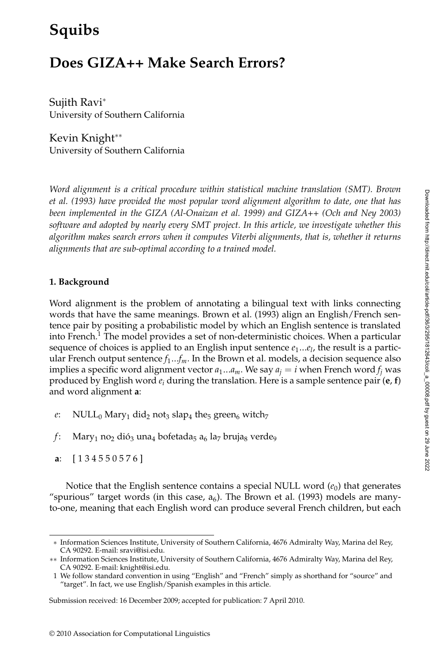# **Squibs**

## **Does GIZA++ Make Search Errors?**

Sujith Ravi<sup>∗</sup> University of Southern California

Kevin Knight∗∗ University of Southern California

*Word alignment is a critical procedure within statistical machine translation (SMT). Brown et al. (1993) have provided the most popular word alignment algorithm to date, one that has been implemented in the GIZA (Al-Onaizan et al. 1999) and GIZA++ (Och and Ney 2003) software and adopted by nearly every SMT project. In this article, we investigate whether this algorithm makes search errors when it computes Viterbi alignments, that is, whether it returns alignments that are sub-optimal according to a trained model.*

## **1. Background**

Word alignment is the problem of annotating a bilingual text with links connecting words that have the same meanings. Brown et al. (1993) align an English/French sentence pair by positing a probabilistic model by which an English sentence is translated into French.<sup>1</sup> The model provides a set of non-deterministic choices. When a particular sequence of choices is applied to an English input sentence *e*1...*el*, the result is a particular French output sentence *f*1...*fm*. In the Brown et al. models, a decision sequence also implies a specific word alignment vector  $a_1...a_m$ . We say  $a_j = i$  when French word  $f_i$  was produced by English word *ei* during the translation. Here is a sample sentence pair (**e**, **f**) and word alignment **a**:

- *e*: NULL<sub>0</sub> Mary<sub>1</sub> did<sub>2</sub> not<sub>3</sub> slap<sub>4</sub> the<sub>5</sub> green<sub>6</sub> witch<sub>7</sub>
- *f*: Mary<sub>1</sub> no<sub>2</sub> dió<sub>3</sub> una<sub>4</sub> bofetada<sub>5</sub> a<sub>6</sub> la<sub>7</sub> bruja<sub>8</sub> verde<sub>9</sub>
- **a**: [134550576]

Notice that the English sentence contains a special NULL word  $(e_0)$  that generates "spurious" target words (in this case,  $a<sub>6</sub>$ ). The Brown et al. (1993) models are manyto-one, meaning that each English word can produce several French children, but each

<sup>∗</sup> Information Sciences Institute, University of Southern California, 4676 Admiralty Way, Marina del Rey, CA 90292. E-mail: sravi@isi.edu.

<sup>∗∗</sup> Information Sciences Institute, University of Southern California, 4676 Admiralty Way, Marina del Rey, CA 90292. E-mail: knight@isi.edu.

<sup>1</sup> We follow standard convention in using "English" and "French" simply as shorthand for "source" and "target". In fact, we use English/Spanish examples in this article.

Submission received: 16 December 2009; accepted for publication: 7 April 2010.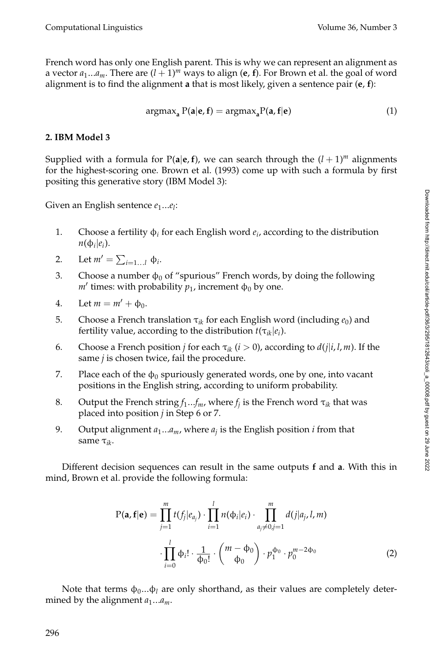French word has only one English parent. This is why we can represent an alignment as a vector  $a_1...a_m$ . There are  $(l + 1)^m$  ways to align (e, f). For Brown et al. the goal of word alignment is to find the alignment **a** that is most likely, given a sentence pair (**e**, **f**):

$$
\operatorname{argmax}_{\mathbf{a}} P(\mathbf{a}|\mathbf{e}, \mathbf{f}) = \operatorname{argmax}_{\mathbf{a}} P(\mathbf{a}, \mathbf{f}|\mathbf{e}) \tag{1}
$$

## **2. IBM Model 3**

Supplied with a formula for  $P(a|e, f)$ , we can search through the  $(l + 1)<sup>m</sup>$  alignments for the highest-scoring one. Brown et al. (1993) come up with such a formula by first positing this generative story (IBM Model 3):

Given an English sentence  $e_1...e_l$ :

- 1. Choose a fertility  $\phi_i$  for each English word  $e_i$ , according to the distribution  $n(\phi_i|e_i)$ .
- 2. Let  $m' = \sum_{i=1...l} \phi_i$ .
- 3. Choose a number  $\phi_0$  of "spurious" French words, by doing the following  $m'$  times: with probability  $p_1$ , increment φ<sub>0</sub> by one.
- 4. Let  $m = m' + \Phi_0$ .
- 5. Choose a French translation  $\tau_{ik}$  for each English word (including  $e_0$ ) and fertility value, according to the distribution  $t(\tau_{ik}|e_i)$ .
- 6. Choose a French position *j* for each  $\tau_{ik}$  (*i* > 0), according to  $d(j|i, l, m)$ . If the same *j* is chosen twice, fail the procedure.
- 7. Place each of the  $\phi_0$  spuriously generated words, one by one, into vacant positions in the English string, according to uniform probability.
- 8. Output the French string  $f_1...f_m$ , where  $f_i$  is the French word  $\tau_{ik}$  that was placed into position *j* in Step 6 or 7.
- 9. Output alignment  $a_1...a_m$ , where  $a_j$  is the English position *i* from that same τ*ik*.

Different decision sequences can result in the same outputs **f** and **a**. With this in mind, Brown et al. provide the following formula:

$$
P(\mathbf{a}, \mathbf{f}|\mathbf{e}) = \prod_{j=1}^{m} t(f_j|e_{a_j}) \cdot \prod_{i=1}^{l} n(\Phi_i|e_i) \cdot \prod_{a_j \neq 0, j=1}^{m} d(j|a_j, l, m)
$$

$$
\cdot \prod_{i=0}^{l} \Phi_i! \cdot \frac{1}{\Phi_0!} \cdot {m - \Phi_0 \choose \Phi_0} \cdot p_1^{\Phi_0} \cdot p_0^{m-2\Phi_0} \tag{2}
$$

Note that terms  $\phi_0...\phi_l$  are only shorthand, as their values are completely determined by the alignment  $a_1...a_m$ .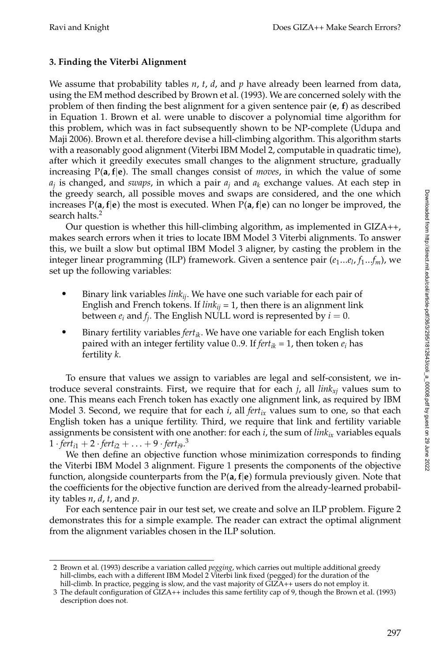## **3. Finding the Viterbi Alignment**

We assume that probability tables *n*, *t*, *d*, and *p* have already been learned from data, using the EM method described by Brown et al. (1993). We are concerned solely with the problem of then finding the best alignment for a given sentence pair (**e**, **f**) as described in Equation 1. Brown et al. were unable to discover a polynomial time algorithm for this problem, which was in fact subsequently shown to be NP-complete (Udupa and Maji 2006). Brown et al. therefore devise a hill-climbing algorithm. This algorithm starts with a reasonably good alignment (Viterbi IBM Model 2, computable in quadratic time), after which it greedily executes small changes to the alignment structure, gradually increasing P(**a**,**f**|**e**). The small changes consist of *moves*, in which the value of some  $a_i$  is changed, and *swaps*, in which a pair  $a_i$  and  $a_k$  exchange values. At each step in the greedy search, all possible moves and swaps are considered, and the one which increases  $P(a, f|e)$  the most is executed. When  $P(a, f|e)$  can no longer be improved, the search halts.<sup>2</sup>

Our question is whether this hill-climbing algorithm, as implemented in GIZA++, makes search errors when it tries to locate IBM Model 3 Viterbi alignments. To answer this, we built a slow but optimal IBM Model 3 aligner, by casting the problem in the integer linear programming (ILP) framework. Given a sentence pair ( $e_1...e_l$ ,  $f_1...f_m$ ), we set up the following variables:

- - Binary link variables *linkij*. We have one such variable for each pair of English and French tokens. If  $link_{ii} = 1$ , then there is an alignment link between  $e_i$  and  $f_i$ . The English NULL word is represented by  $i = 0$ .
- - Binary fertility variables *fertik*. We have one variable for each English token paired with an integer fertility value 0..9. If  $fert_{ik} = 1$ , then token  $e_i$  has fertility *k*.

To ensure that values we assign to variables are legal and self-consistent, we introduce several constraints. First, we require that for each  $j$ , all  $link_{xi}$  values sum to one. This means each French token has exactly one alignment link, as required by IBM Model 3. Second, we require that for each  $i$ , all  $fert_{ix}$  values sum to one, so that each English token has a unique fertility. Third, we require that link and fertility variable assignments be consistent with one another: for each *i*, the sum of *link*<sub>ix</sub> variables equals  $1 \cdot 1 + 2 \cdot 1 + \cdots + 9 \cdot 1 + 6$ 

We then define an objective function whose minimization corresponds to finding the Viterbi IBM Model 3 alignment. Figure 1 presents the components of the objective function, alongside counterparts from the P(**a**,**f**|**e**) formula previously given. Note that the coefficients for the objective function are derived from the already-learned probability tables *n*, *d*, *t*, and *p*.

For each sentence pair in our test set, we create and solve an ILP problem. Figure 2 demonstrates this for a simple example. The reader can extract the optimal alignment from the alignment variables chosen in the ILP solution.

<sup>2</sup> Brown et al. (1993) describe a variation called *pegging*, which carries out multiple additional greedy hill-climbs, each with a different IBM Model 2 Viterbi link fixed (pegged) for the duration of the hill-climb. In practice, pegging is slow, and the vast majority of  $\ddot{G}IZ\ddot{A}$ ++ users do not employ it.

<sup>3</sup> The default configuration of GIZA++ includes this same fertility cap of 9, though the Brown et al. (1993) description does not.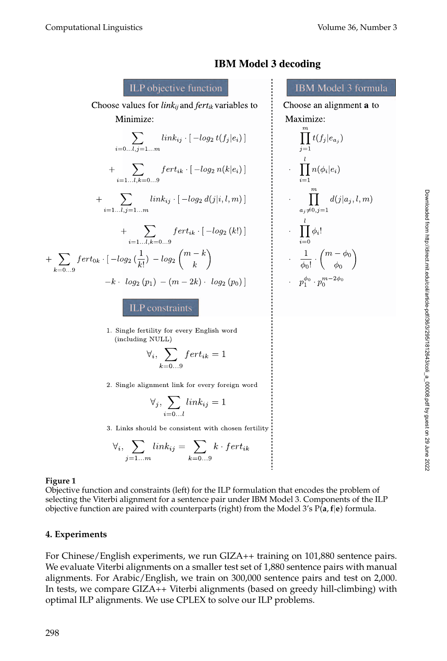

**IBM Model 3 decoding** 

1. Single fertility for every English word (including NULL)

$$
\forall_i, \sum_{k=0...9} fert_{ik} = 1
$$

2. Single alignment link for every foreign word

$$
\forall_j, \sum_{i=0...l} link_{ij} = 1
$$

3. Links should be consistent with chosen fertility

$$
\forall_i, \sum_{j=1...m} link_{ij} = \sum_{k=0...9} k \cdot fert_{ik}
$$

#### **Figure 1**

Objective function and constraints (left) for the ILP formulation that encodes the problem of selecting the Viterbi alignment for a sentence pair under IBM Model 3. Components of the ILP objective function are paired with counterparts (right) from the Model 3's P(**a**,**f**|**e**) formula.

## **4. Experiments**

For Chinese/English experiments, we run GIZA++ training on 101,880 sentence pairs. We evaluate Viterbi alignments on a smaller test set of 1,880 sentence pairs with manual alignments. For Arabic/English, we train on 300,000 sentence pairs and test on 2,000. In tests, we compare GIZA++ Viterbi alignments (based on greedy hill-climbing) with optimal ILP alignments. We use CPLEX to solve our ILP problems.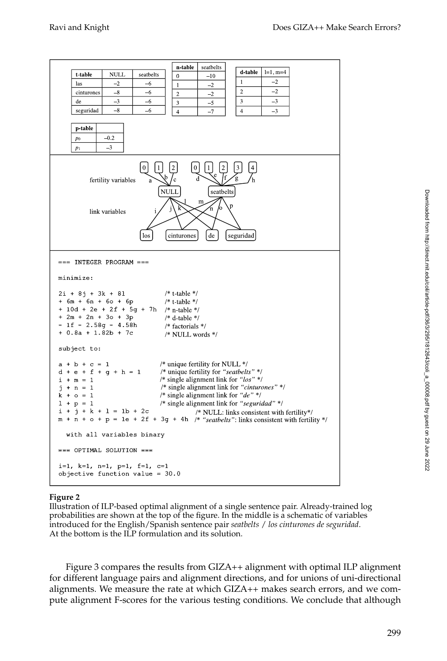| n table<br>seatbelts<br>d table<br>$l=1, m=4$<br>t table<br>NULL<br>seatbelts<br>$\boldsymbol{0}$<br>$-10$<br>$-2$<br>1<br>$-2$<br>las<br>$-6$<br>$\mathbf{1}$<br>$-2$<br>$-2$<br>$\overline{2}$<br>cinturones<br>$-8$<br>$-6$<br>$\overline{2}$<br>$-2$<br>3<br>$-3$<br>$-3$<br>de<br>$-6$<br>3<br>-5<br>$-8$<br>seguridad<br>-6<br>$-7$<br>$\overline{4}$<br>$-3$<br>$\overline{4}$<br>p table<br>$-0.2$<br>p <sub>0</sub><br>$-3$<br>$p_1$                                                                                                                                                    |  |  |  |  |  |  |
|--------------------------------------------------------------------------------------------------------------------------------------------------------------------------------------------------------------------------------------------------------------------------------------------------------------------------------------------------------------------------------------------------------------------------------------------------------------------------------------------------------------------------------------------------------------------------------------------------|--|--|--|--|--|--|
| $\vert 0 \vert$<br>$\mathbf{1}$<br>$\overline{2}$<br>0<br>1<br>2<br>'c<br>fertility variables<br>a<br><b>NULL</b><br>seatbelts<br>m<br>Ŕ<br>link variables<br>de<br>los<br>cinturones<br>seguridad                                                                                                                                                                                                                                                                                                                                                                                               |  |  |  |  |  |  |
| $==$ INTEGER PROGRAM $==$<br>minimize:<br>/* t-table $*/$<br>$2i + 8j + 3k + 8l$<br>+ 6m + 6n + 6o + 6p<br>/* t table $*/$<br>+ 10d + 2e + 2f + 5g + 7h /* n-table */<br>$+ 2m + 2n + 3o + 3p$<br>$/*$ d-table $*/$<br>$-1f - 2.58g - 4.58h$<br>/* factorials $*/$<br>$+ 0.8a + 1.82b + 7c$<br>/* NULL words */                                                                                                                                                                                                                                                                                  |  |  |  |  |  |  |
| subject to:<br>/* unique fertility for NULL */<br>$a + b + c = 1$<br>/* unique fertility for "seatbelts" */<br>$d + e + f + q + h = 1$<br>/* single alignment link for " $\log$ " */<br>i + m = 1<br>/* single alignment link for " <i>cinturones</i> " */<br>$j + n = 1$<br>/* single alignment link for "de" */<br>$k + o = 1$<br>/* single alignment link for "seguridad" */<br>$1 + p = 1$<br>$i + j + k + l = 1b + 2c$<br>/* NULL: links consistent with fertility*/<br>$m + n + o + p = 1e + 2f + 3g + 4h$ /* "seatbelts": links consistent with fertility */<br>with all variables binary |  |  |  |  |  |  |
| === OPTIMAL SOLUTION ===<br>i=1, k=1, n=1, p=1, f=1, c=1<br>objective function value = 30.0                                                                                                                                                                                                                                                                                                                                                                                                                                                                                                      |  |  |  |  |  |  |

#### **Figure 2**

Illustration of ILP-based optimal alignment of a single sentence pair. Already-trained log probabilities are shown at the top of the figure. In the middle is a schematic of variables introduced for the English/Spanish sentence pair *seatbelts* / *los cinturones de seguridad*. At the bottom is the ILP formulation and its solution.

Figure 3 compares the results from GIZA++ alignment with optimal ILP alignment for different language pairs and alignment directions, and for unions of uni-directional alignments. We measure the rate at which GIZA++ makes search errors, and we compute alignment F-scores for the various testing conditions. We conclude that although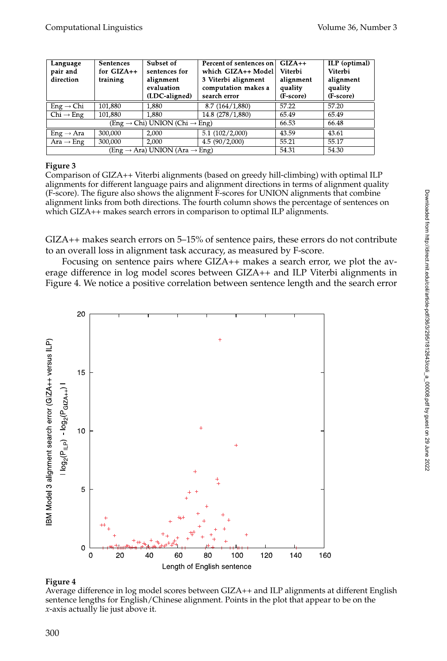| Language<br>pair and<br>direction                     | <b>Sentences</b><br>for $GIZA++$<br>training | Subset of<br>sentences for<br>alignment<br>evaluation<br>(LDC-aligned) | Percent of sentences on<br>which GIZA++ Model<br>3 Viterbi alignment<br>computation makes a<br>search error | $GIZA++$<br>Viterbi<br>alignment<br>quality<br>(F-score) | ILP (optimal)<br>Viterbi<br>alignment<br>quality<br>(F-score) |
|-------------------------------------------------------|----------------------------------------------|------------------------------------------------------------------------|-------------------------------------------------------------------------------------------------------------|----------------------------------------------------------|---------------------------------------------------------------|
| $Eng \rightarrow Chi$                                 | 101,880                                      | 1,880                                                                  | 8.7 (164/1,880)                                                                                             | 57.22                                                    | 57.20                                                         |
| $Chi \rightarrow Eng$                                 | 101,880                                      | 1,880                                                                  | 14.8 (278/1,880)                                                                                            | 65.49                                                    | 65.49                                                         |
| $(Eng \rightarrow Chi) UNION (Chi \rightarrow Eng)$   |                                              |                                                                        |                                                                                                             | 66.53                                                    | 66.48                                                         |
| $Eng \rightarrow Ara$                                 | 300.000                                      | 2.000                                                                  | 5.1(102/2,000)                                                                                              | 43.59                                                    | 43.61                                                         |
| Ara $\rightarrow$ Eng                                 | 300,000                                      | 2.000                                                                  | 4.5(90/2,000)                                                                                               | 55.21                                                    | 55.17                                                         |
| (Eng $\rightarrow$ Ara) UNION (Ara $\rightarrow$ Eng) |                                              |                                                                        |                                                                                                             | 54.31                                                    | 54.30                                                         |

#### **Figure 3**

Comparison of GIZA++ Viterbi alignments (based on greedy hill-climbing) with optimal ILP alignments for different language pairs and alignment directions in terms of alignment quality (F-score). The figure also shows the alignment F-scores for UNION alignments that combine alignment links from both directions. The fourth column shows the percentage of sentences on which GIZA++ makes search errors in comparison to optimal ILP alignments.

GIZA++ makes search errors on 5–15% of sentence pairs, these errors do not contribute to an overall loss in alignment task accuracy, as measured by F-score.

Focusing on sentence pairs where GIZA++ makes a search error, we plot the average difference in log model scores between GIZA++ and ILP Viterbi alignments in Figure 4. We notice a positive correlation between sentence length and the search error



## **Figure 4**

Average difference in log model scores between GIZA++ and ILP alignments at different English sentence lengths for English/Chinese alignment. Points in the plot that appear to be on the *x*-axis actually lie just above it.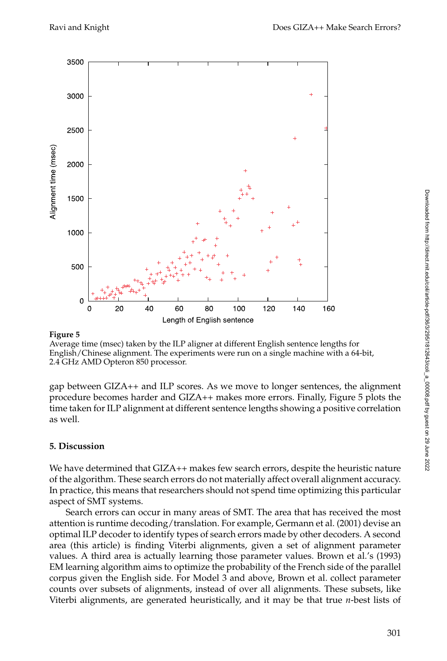

#### **Figure 5**

Average time (msec) taken by the ILP aligner at different English sentence lengths for English/Chinese alignment. The experiments were run on a single machine with a 64-bit, 2.4 GHz AMD Opteron 850 processor.

gap between GIZA++ and ILP scores. As we move to longer sentences, the alignment procedure becomes harder and GIZA++ makes more errors. Finally, Figure 5 plots the time taken for ILP alignment at different sentence lengths showing a positive correlation as well.

## **5. Discussion**

We have determined that GIZA++ makes few search errors, despite the heuristic nature of the algorithm. These search errors do not materially affect overall alignment accuracy. In practice, this means that researchers should not spend time optimizing this particular aspect of SMT systems.

Search errors can occur in many areas of SMT. The area that has received the most attention is runtime decoding/translation. For example, Germann et al. (2001) devise an optimal ILP decoder to identify types of search errors made by other decoders. A second area (this article) is finding Viterbi alignments, given a set of alignment parameter values. A third area is actually learning those parameter values. Brown et al.'s (1993) EM learning algorithm aims to optimize the probability of the French side of the parallel corpus given the English side. For Model 3 and above, Brown et al. collect parameter counts over subsets of alignments, instead of over all alignments. These subsets, like Viterbi alignments, are generated heuristically, and it may be that true *n*-best lists of